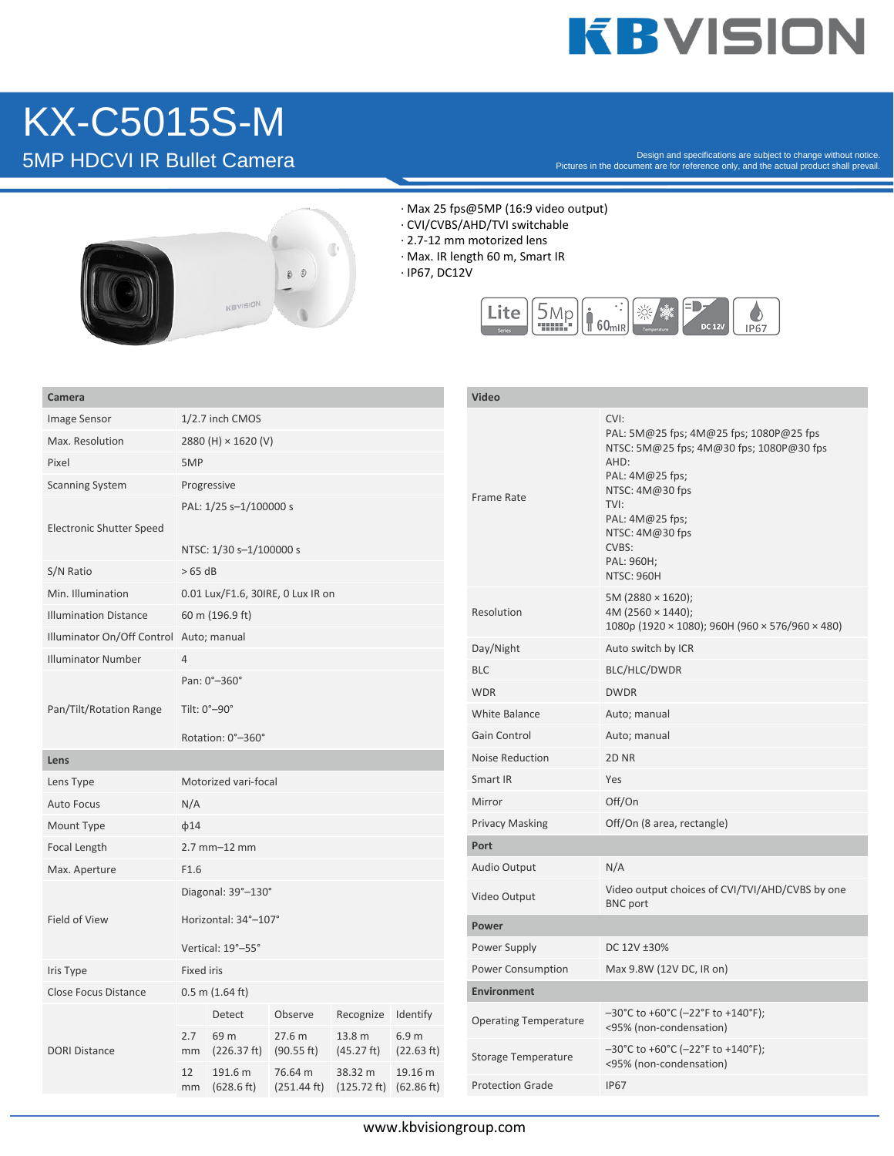### **KBVISION**

## KX-C5015S-M

Pesign and specifications are subject to change without notice.<br>Pictures in the document are for reference only, and the actual product shall prevail.<br>Pictures in the document are for reference only, and the actual product



- · Max 25 fps@5MP (16:9 video output)
- · CVI/CVBS/AHD/TVI switchable
- · 2.7-12 mm motorized lens
- · Max. IR length 60 m, Smart IR
- · IP67, DC12V



| Camera                                  |                                                   |                       |                                  |                                                       |            | Video                        |                                                                                                                                                                                                                             |
|-----------------------------------------|---------------------------------------------------|-----------------------|----------------------------------|-------------------------------------------------------|------------|------------------------------|-----------------------------------------------------------------------------------------------------------------------------------------------------------------------------------------------------------------------------|
| Image Sensor                            | 1/2.7 inch CMOS                                   |                       |                                  |                                                       |            |                              | CVI:                                                                                                                                                                                                                        |
| Max. Resolution                         | 2880 (H) × 1620 (V)                               |                       |                                  |                                                       |            |                              | PAL: 5M@25 fps; 4M@25 fps; 1080P@25 fps<br>NTSC: 5M@25 fps; 4M@30 fps; 1080P@30 fps<br>AHD:<br>PAL: 4M@25 fps;<br>NTSC: 4M@30 fps<br>TVI:<br>PAL: 4M@25 fps;<br>NTSC: 4M@30 fps<br>CVBS:<br>PAL: 960H;<br><b>NTSC: 960H</b> |
| Pixel                                   | 5MP                                               |                       |                                  |                                                       |            |                              |                                                                                                                                                                                                                             |
| <b>Scanning System</b>                  | Progressive                                       |                       |                                  |                                                       |            | Frame Rate                   |                                                                                                                                                                                                                             |
| <b>Electronic Shutter Speed</b>         | PAL: 1/25 s-1/100000 s<br>NTSC: 1/30 s-1/100000 s |                       |                                  |                                                       |            |                              |                                                                                                                                                                                                                             |
| S/N Ratio                               | >65 dB                                            |                       |                                  |                                                       |            |                              |                                                                                                                                                                                                                             |
| Min. Illumination                       | 0.01 Lux/F1.6, 30IRE, 0 Lux IR on                 |                       |                                  |                                                       |            |                              | 5M (2880 $\times$ 1620);                                                                                                                                                                                                    |
| <b>Illumination Distance</b>            | 60 m (196.9 ft)                                   |                       |                                  |                                                       |            | Resolution                   | 4M (2560 $\times$ 1440);<br>1080p (1920 × 1080); 960H (960 × 576/960 × 480)                                                                                                                                                 |
| Illuminator On/Off Control Auto; manual |                                                   |                       |                                  |                                                       |            | Day/Night                    | Auto switch by ICR                                                                                                                                                                                                          |
| <b>Illuminator Number</b>               | $\overline{4}$                                    |                       |                                  |                                                       |            | <b>BLC</b>                   | BLC/HLC/DWDR                                                                                                                                                                                                                |
| Pan/Tilt/Rotation Range                 | Pan: 0°-360°                                      |                       |                                  |                                                       |            | <b>WDR</b>                   | <b>DWDR</b>                                                                                                                                                                                                                 |
|                                         | Tilt: 0°-90°                                      |                       |                                  |                                                       |            | <b>White Balance</b>         | Auto; manual                                                                                                                                                                                                                |
|                                         |                                                   | Rotation: 0°-360°     |                                  |                                                       |            | <b>Gain Control</b>          | Auto; manual                                                                                                                                                                                                                |
| Lens                                    |                                                   |                       |                                  |                                                       |            | Noise Reduction              | 2D <sub>NR</sub>                                                                                                                                                                                                            |
| Lens Type                               | Motorized vari-focal                              |                       |                                  |                                                       |            | Smart IR                     | Yes                                                                                                                                                                                                                         |
| <b>Auto Focus</b>                       | N/A                                               |                       |                                  |                                                       |            | Mirror                       | Off/On                                                                                                                                                                                                                      |
| Mount Type                              | $\phi$ 14                                         |                       |                                  |                                                       |            | <b>Privacy Masking</b>       | Off/On (8 area, rectangle)                                                                                                                                                                                                  |
| Focal Length                            | 2.7 mm-12 mm                                      |                       |                                  |                                                       |            | Port                         |                                                                                                                                                                                                                             |
| Max. Aperture                           | F1.6                                              |                       |                                  |                                                       |            | Audio Output                 | N/A                                                                                                                                                                                                                         |
| Field of View                           |                                                   | Diagonal: 39°-130°    |                                  |                                                       |            | Video Output                 | Video output choices of CVI/TVI/AHD/CVBS by one<br><b>BNC</b> port                                                                                                                                                          |
|                                         |                                                   | Horizontal: 34°-107°  |                                  |                                                       |            | Power                        |                                                                                                                                                                                                                             |
|                                         |                                                   | Vertical: 19°-55°     |                                  |                                                       |            | Power Supply                 | DC 12V ±30%                                                                                                                                                                                                                 |
| Iris Type                               | Fixed iris                                        |                       |                                  |                                                       |            | Power Consumption            | Max 9.8W (12V DC, IR on)                                                                                                                                                                                                    |
| <b>Close Focus Distance</b>             | $0.5$ m $(1.64$ ft)                               |                       |                                  |                                                       |            | <b>Environment</b>           |                                                                                                                                                                                                                             |
| <b>DORI Distance</b>                    | 2.7                                               | Detect<br>69 m        | Observe<br>27.6 m                | Recognize Identify<br>13.8 m                          | 6.9 m      | <b>Operating Temperature</b> | $-30^{\circ}$ C to +60 $^{\circ}$ C (-22 $^{\circ}$ F to +140 $^{\circ}$ F);<br><95% (non-condensation)                                                                                                                     |
|                                         | mm                                                | (226.37 ft)           | (90.55 ft)                       | (45.27 ft)                                            | (22.63 ft) | <b>Storage Temperature</b>   | $-30^{\circ}$ C to +60 $^{\circ}$ C (-22 $^{\circ}$ F to +140 $^{\circ}$ F);<br><95% (non-condensation)                                                                                                                     |
|                                         | 12<br>mm                                          | 191.6 m<br>(628.6 ft) | 76.64 m<br>$(251.44 \text{ ft})$ | 38.32 m<br>$(125.72 \text{ ft})$ $(62.86 \text{ ft})$ | 19.16 m    | <b>Protection Grade</b>      | <b>IP67</b>                                                                                                                                                                                                                 |